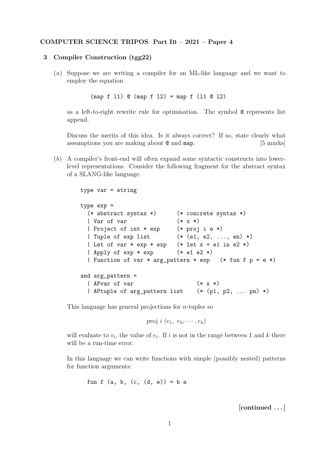## COMPUTER SCIENCE TRIPOS Part IB – 2021 – Paper 4

## 3 Compiler Construction (tgg22)

(a) Suppose we are writing a compiler for an ML-like language and we want to employ the equation

(map f l1) @ (map f l2) = map f (l1 @ l2)

as a left-to-right rewrite rule for optimisation. The symbol @ represents list append.

Discuss the merits of this idea. Is it always correct? If so, state clearly what assumptions you are making about  $\mathcal Q$  and map. [5 marks]

(b) A compiler's front-end will often expand some syntactic constructs into lowerlevel representations. Consider the following fragment for the abstract syntax of a SLANG-like language.

```
type var = string
type exp =
 (* abstract syntax *) (* concrete syntax *)
 | Var of var (* x *)
 | Project of int * exp (* proj i e *)
 | Tuple of exp list (* (e1, e2, ..., en) *)
 | Let of var * exp * exp (* let x = e1 in e2 *)| Apply of \exp * \exp (* e1 e2 *)
 | Function of var * arg_pattern * exp (* fun f p = e *)
and arg_pattern =
 | APvar of var (* x *)
 | APtuple of arg_pattern list (* (p1, p2, ... pn) *)
```
This language has general projections for  $n$ -tuples so

proj  $i$   $(e_1, e_2, \cdots, e_k)$ 

will evaluate to  $v_i$ , the value of  $e_i$ . If i is not in the range between 1 and k there will be a run-time error.

In this language we can write functions with simple (possibly nested) patterns for function arguments:

```
fun f (a, b, (c, (d, e)) = b a
```
[continued . . . ]